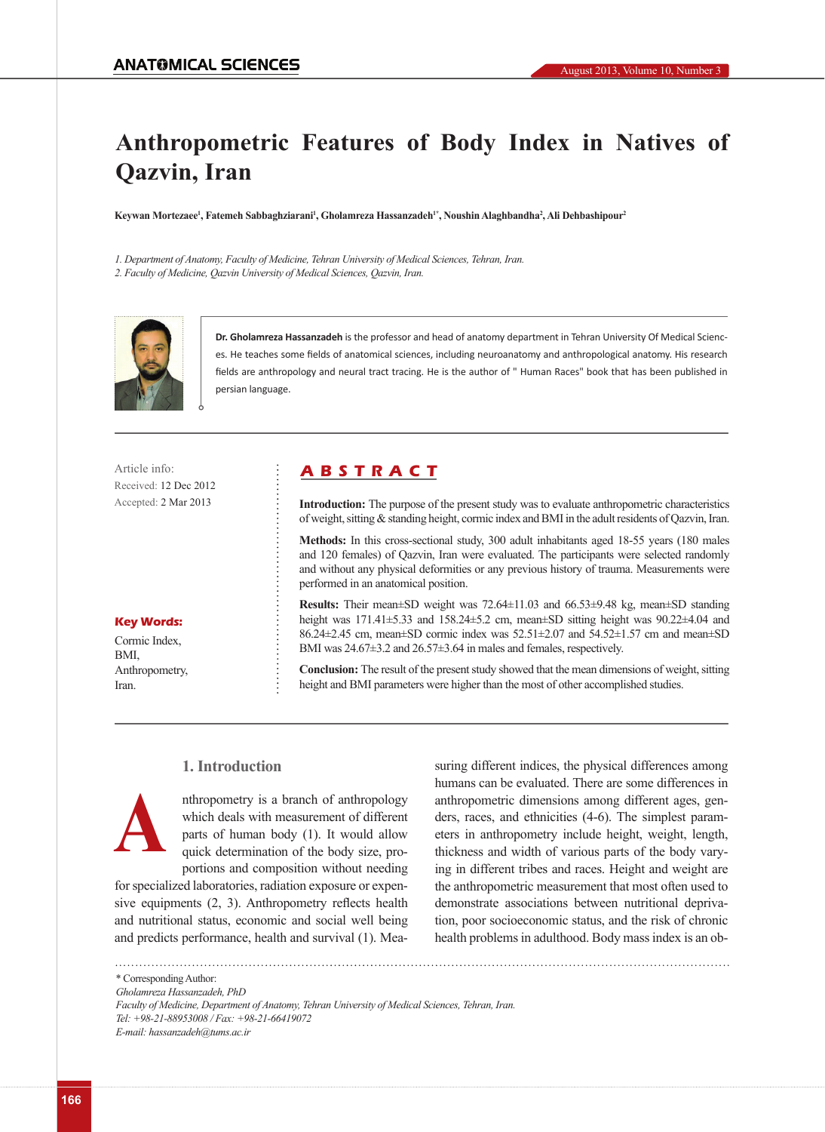# **Anthropometric Features of Body Index in Natives of Qazvin, Iran**

**Keywan Mortezaee1 , Fatemeh Sabbaghziarani1 , Gholamreza Hassanzadeh1\*, Noushin Alaghbandha2 , Ali Dehbashipour2**

*1. Department of Anatomy, Faculty of Medicine, Tehran University of Medical Sciences, Tehran, Iran. 2. Faculty of Medicine, Qazvin University of Medical Sciences, Qazvin, Iran.* 



**Dr. Gholamreza Hassanzadeh** is the professor and head of anatomy department in Tehran University Of Medical Sciences. He teaches some fields of anatomical sciences, including neuroanatomy and anthropological anatomy. His research fields are anthropology and neural tract tracing. He is the author of " Human Races" book that has been published in persian language.

Received: 12 Dec 2012 Accepted: 2 Mar 2013

#### **Key Words:**

Cormic Index, BMI, Anthropometry, Iran.

# Article info: **A B S T R A C T**

**Introduction:** The purpose of the present study was to evaluate anthropometric characteristics of weight, sitting & standing height, cormic index and BMI in the adult residents of Qazvin, Iran.

**Methods:** In this cross-sectional study, 300 adult inhabitants aged 18-55 years (180 males and 120 females) of Qazvin, Iran were evaluated. The participants were selected randomly and without any physical deformities or any previous history of trauma. Measurements were performed in an anatomical position.

**Results:** Their mean±SD weight was 72.64±11.03 and 66.53±9.48 kg, mean±SD standing height was 171.41±5.33 and 158.24±5.2 cm, mean±SD sitting height was 90.22±4.04 and 86.24 $\pm$ 2.45 cm, mean $\pm$ SD cormic index was 52.51 $\pm$ 2.07 and 54.52 $\pm$ 1.57 cm and mean $\pm$ SD BMI was  $24.67\pm3.2$  and  $26.57\pm3.64$  in males and females, respectively.

**Conclusion:** The result of the present study showed that the mean dimensions of weight, sitting height and BMI parameters were higher than the most of other accomplished studies.

# **1. Introduction**



nthropometry is a branch of anthropology which deals with measurement of different parts of human body (1). It would allow quick determination of the body size, proportions and composition without needing

for specialized laboratories, radiation exposure or expensive equipments (2, 3). Anthropometry reflects health and nutritional status, economic and social well being and predicts performance, health and survival (1). Measuring different indices, the physical differences among humans can be evaluated. There are some differences in anthropometric dimensions among different ages, genders, races, and ethnicities (4-6). The simplest parameters in anthropometry include height, weight, length, thickness and width of various parts of the body varying in different tribes and races. Height and weight are the anthropometric measurement that most often used to demonstrate associations between nutritional deprivation, poor socioeconomic status, and the risk of chronic health problems in adulthood. Body mass index is an ob-

\* Corresponding Author: *Gholamreza Hassanzadeh, PhD Faculty of Medicine, Department of Anatomy, Tehran University of Medical Sciences, Tehran, Iran. Tel: +98-21-88953008 / Fax: +98-21-66419072 E-mail: hassanzadeh@tums.ac.ir*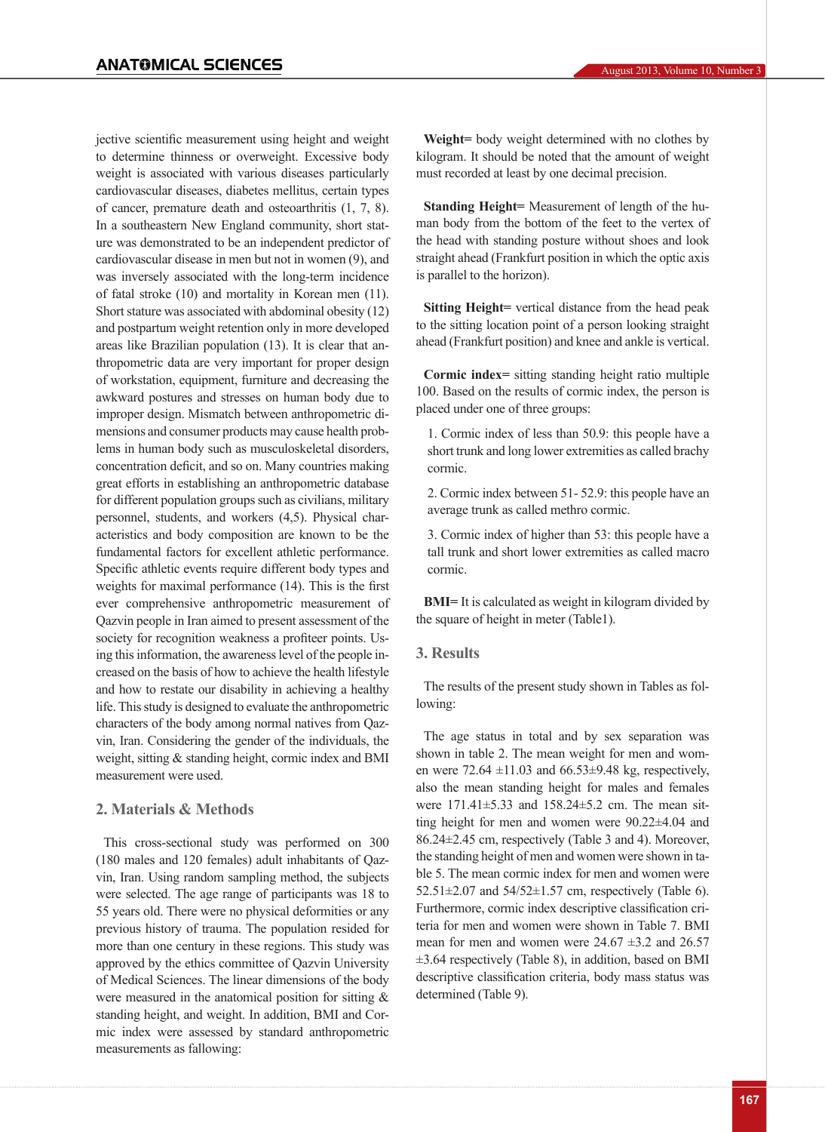jective scientific measurement using height and weight to determine thinness or overweight. Excessive body weight is associated with various diseases particularly cardiovascular diseases, diabetes mellitus, certain types of cancer, premature death and osteoarthritis (1, 7, 8). In a southeastern New England community, short stature was demonstrated to be an independent predictor of cardiovascular disease in men but not in women (9), and was inversely associated with the long-term incidence of fatal stroke (10) and mortality in Korean men (11). Short stature was associated with abdominal obesity (12) and postpartum weight retention only in more developed areas like Brazilian population (13). It is clear that anthropometric data are very important for proper design of workstation, equipment, furniture and decreasing the awkward postures and stresses on human body due to improper design. Mismatch between anthropometric dimensions and consumer products may cause health problems in human body such as musculoskeletal disorders, concentration deficit, and so on. Many countries making great efforts in establishing an anthropometric database for different population groups such as civilians, military personnel, students, and workers (4,5). Physical characteristics and body composition are known to be the fundamental factors for excellent athletic performance. Specific athletic events require different body types and weights for maximal performance (14). This is the first ever comprehensive anthropometric measurement of Qazvin people in Iran aimed to present assessment of the society for recognition weakness a profiteer points. Using this information, the awareness level of the people increased on the basis of how to achieve the health lifestyle and how to restate our disability in achieving a healthy life. This study is designed to evaluate the anthropometric characters of the body among normal natives from Qazvin, Iran. Considering the gender of the individuals, the weight, sitting & standing height, cormic index and BMI measurement were used.

# **2. Materials & Methods**

This cross-sectional study was performed on 300 (180 males and 120 females) adult inhabitants of Qazvin, Iran. Using random sampling method, the subjects were selected. The age range of participants was 18 to 55 years old. There were no physical deformities or any previous history of trauma. The population resided for more than one century in these regions. This study was approved by the ethics committee of Qazvin University of Medical Sciences. The linear dimensions of the body were measured in the anatomical position for sitting & standing height, and weight. In addition, BMI and Cormic index were assessed by standard anthropometric measurements as fallowing:

**Weight=** body weight determined with no clothes by kilogram. It should be noted that the amount of weight must recorded at least by one decimal precision.

**Standing Height=** Measurement of length of the human body from the bottom of the feet to the vertex of the head with standing posture without shoes and look straight ahead (Frankfurt position in which the optic axis is parallel to the horizon).

**Sitting Height=** vertical distance from the head peak to the sitting location point of a person looking straight ahead (Frankfurt position) and knee and ankle is vertical.

**Cormic index=** sitting standing height ratio multiple 100. Based on the results of cormic index, the person is placed under one of three groups:

1. Cormic index of less than 50.9: this people have a short trunk and long lower extremities as called brachy cormic.

2. Cormic index between 51- 52.9: this people have an average trunk as called methro cormic.

3. Cormic index of higher than 53: this people have a tall trunk and short lower extremities as called macro cormic.

**BMI=** It is calculated as weight in kilogram divided by the square of height in meter (Table1).

#### **3. Results**

The results of the present study shown in Tables as following:

The age status in total and by sex separation was shown in table 2. The mean weight for men and women were  $72.64 \pm 11.03$  and  $66.53 \pm 9.48$  kg, respectively, also the mean standing height for males and females were 171.41±5.33 and 158.24±5.2 cm. The mean sitting height for men and women were 90.22±4.04 and 86.24±2.45 cm, respectively (Table 3 and 4). Moreover, the standing height of men and women were shown in table 5. The mean cormic index for men and women were 52.51 $\pm$ 2.07 and 54/52 $\pm$ 1.57 cm, respectively (Table 6). Furthermore, cormic index descriptive classification criteria for men and women were shown in Table 7. BMI mean for men and women were  $24.67 \pm 3.2$  and  $26.57$ ±3.64 respectively (Table 8), in addition, based on BMI descriptive classification criteria, body mass status was determined (Table 9).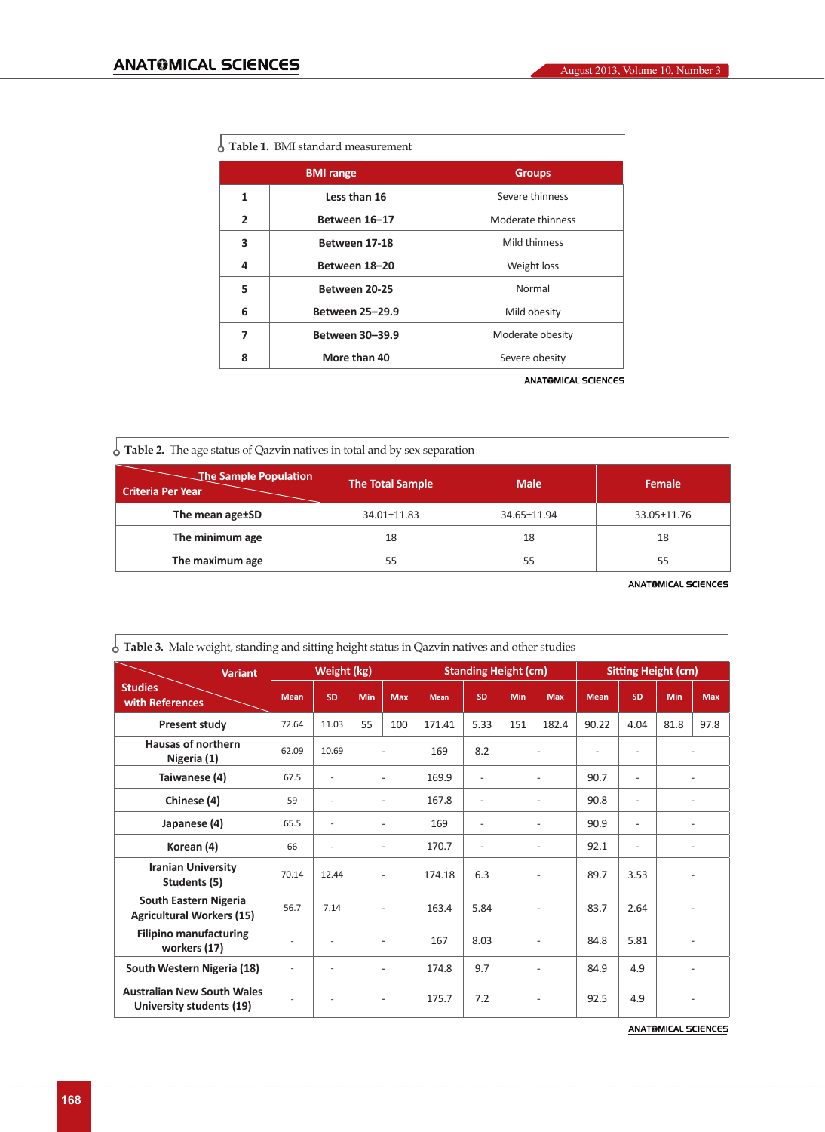|  |  | $\frac{1}{2}$ Table 1. BMI standard measurement |  |
|--|--|-------------------------------------------------|--|
|--|--|-------------------------------------------------|--|

|                | <b>BMI</b> range       | <b>Groups</b>     |  |  |
|----------------|------------------------|-------------------|--|--|
| 1              | Less than 16           | Severe thinness   |  |  |
| $\overline{2}$ | Between 16-17          | Moderate thinness |  |  |
| 3              | Between 17-18          | Mild thinness     |  |  |
| 4              | Between 18-20          | Weight loss       |  |  |
| 5              | Between 20-25          | Normal            |  |  |
| 6              | <b>Between 25-29.9</b> | Mild obesity      |  |  |
| 7              | <b>Between 30-39.9</b> | Moderate obesity  |  |  |
| 8              | More than 40           | Severe obesity    |  |  |
|                |                        |                   |  |  |

**ANATOMICAL SCIENCES** 

**Table 2.** The age status of Qazvin natives in total and by sex separation

| The Sample Population<br><b>Criteria Per Year</b> | The Total Sample | <b>Male</b> | <b>Female</b> |
|---------------------------------------------------|------------------|-------------|---------------|
| The mean age±SD                                   | 34.01±11.83      | 34.65±11.94 | 33.05±11.76   |
| The minimum age                                   | 18               | 18          | 18            |
| The maximum age                                   | 55               | 55          | 55            |

**ANATOMICAL SCIENCES** 

| <b>Variant</b>                                                | Weight (kg) |                          |     | <b>Standing Height (cm)</b> |             |                          |                | <b>Sitting Height (cm)</b> |             |                          |                          |                          |  |
|---------------------------------------------------------------|-------------|--------------------------|-----|-----------------------------|-------------|--------------------------|----------------|----------------------------|-------------|--------------------------|--------------------------|--------------------------|--|
| <b>Studies</b><br>with References                             | <b>Mean</b> | <b>SD</b>                | Min | <b>Max</b>                  | <b>Mean</b> | <b>SD</b>                | Min            | <b>Max</b>                 | <b>Mean</b> | <b>SD</b>                | Min                      | <b>Max</b>               |  |
| <b>Present study</b>                                          | 72.64       | 11.03                    | 55  | 100                         | 171.41      | 5.33                     | 151            | 182.4                      | 90.22       | 4.04                     | 81.8                     | 97.8                     |  |
| <b>Hausas of northern</b><br>Nigeria (1)                      | 62.09       | 10.69                    |     | $\overline{\phantom{0}}$    | 169         | 8.2                      | $\overline{a}$ |                            |             | $\overline{\phantom{a}}$ |                          |                          |  |
| Taiwanese (4)                                                 | 67.5        | ä,                       |     | ٠                           | 169.9       | $\overline{\phantom{a}}$ |                |                            | 90.7        | $\overline{a}$           | $\overline{a}$           |                          |  |
| Chinese (4)                                                   | 59          | ä,                       |     | ٠                           | 167.8       | $\overline{\phantom{a}}$ |                | $\overline{a}$             |             | $\overline{\phantom{a}}$ |                          | $\overline{\phantom{a}}$ |  |
| Japanese (4)                                                  | 65.5        | ä,                       |     | $\overline{\phantom{0}}$    | 169         | $\overline{\phantom{a}}$ | $\overline{a}$ |                            | 90.9        | $\overline{\phantom{a}}$ | $\overline{\phantom{a}}$ |                          |  |
| Korean (4)                                                    | 66          | ä,                       |     | ٠                           | 170.7       | $\overline{\phantom{a}}$ |                | $\overline{a}$             | 92.1        | $\overline{\phantom{a}}$ |                          | $\overline{\phantom{a}}$ |  |
| <b>Iranian University</b><br>Students (5)                     | 70.14       | 12.44                    |     | $\overline{\phantom{a}}$    | 174.18      | 6.3                      |                |                            | 89.7        | 3.53                     |                          |                          |  |
| South Eastern Nigeria<br><b>Agricultural Workers (15)</b>     | 56.7        | 7.14                     |     | ٠                           | 163.4       | 5.84                     | $\overline{a}$ |                            | 83.7        | 2.64                     | $\overline{a}$           |                          |  |
| <b>Filipino manufacturing</b><br>workers (17)                 |             | ٠                        |     | $\overline{a}$              | 167         | 8.03                     | $\overline{a}$ |                            | 84.8        | 5.81                     | $\overline{\phantom{a}}$ |                          |  |
| South Western Nigeria (18)                                    | ÷,          | $\overline{a}$           |     | $\overline{\phantom{0}}$    | 174.8       | 9.7                      |                | $\overline{a}$             | 84.9        | 4.9                      |                          | $\overline{\phantom{a}}$ |  |
| <b>Australian New South Wales</b><br>University students (19) | ٠           | $\overline{\phantom{a}}$ |     | $\overline{\phantom{0}}$    | 175.7       | 7.2                      |                | $\overline{a}$             | 92.5        | 4.9                      | $\overline{a}$           |                          |  |

**Table 3.** Male weight, standing and sitting height status in Qazvin natives and other studies

**ANATOMICAL SCIENCES**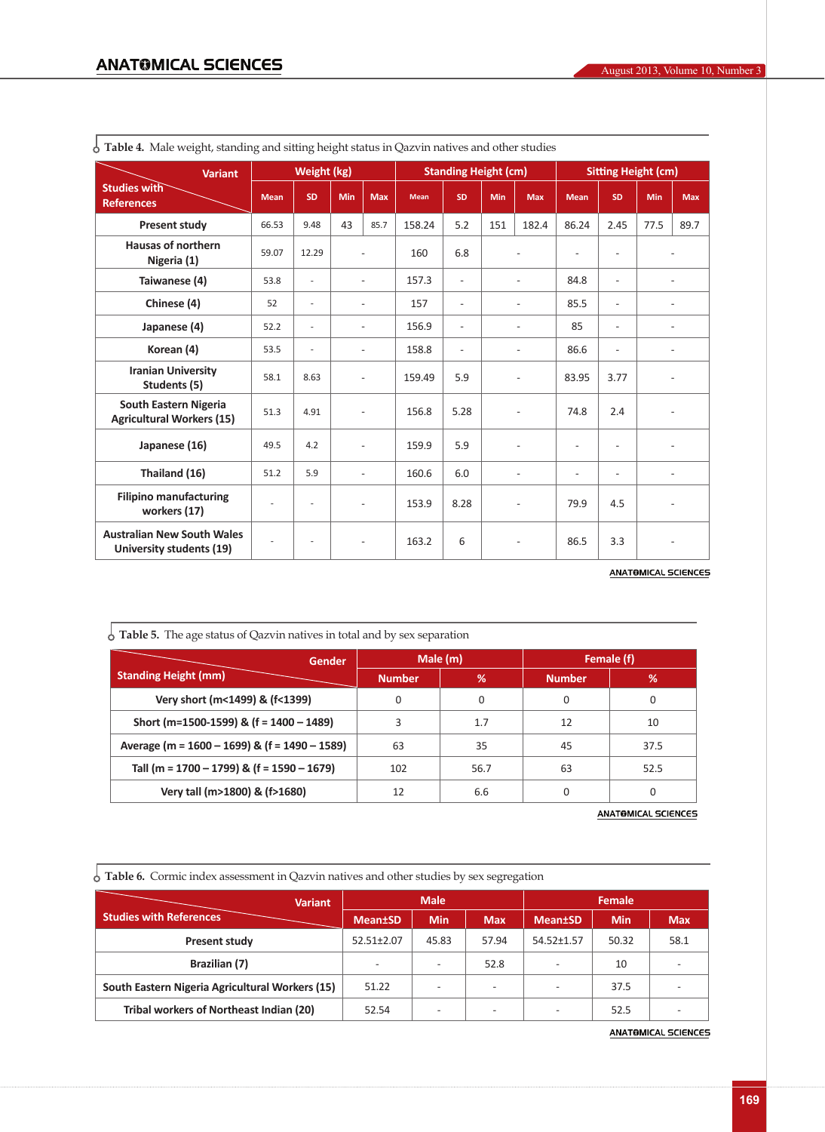| <b>Variant</b>                                                | Weight (kg) |                          |     | <b>Standing Height (cm)</b> |             |                          |                          | <b>Sitting Height (cm)</b> |                          |                          |                |                          |
|---------------------------------------------------------------|-------------|--------------------------|-----|-----------------------------|-------------|--------------------------|--------------------------|----------------------------|--------------------------|--------------------------|----------------|--------------------------|
| <b>Studies with</b><br><b>References</b>                      | <b>Mean</b> | <b>SD</b>                | Min | <b>Max</b>                  | <b>Mean</b> | <b>SD</b>                | Min                      | <b>Max</b>                 | <b>Mean</b>              | <b>SD</b>                | Min            | <b>Max</b>               |
| <b>Present study</b>                                          | 66.53       | 9.48                     | 43  | 85.7                        | 158.24      | 5.2                      | 151                      | 182.4                      | 86.24                    | 2.45                     | 77.5           | 89.7                     |
| <b>Hausas of northern</b><br>Nigeria (1)                      | 59.07       | 12.29                    |     | $\overline{\phantom{a}}$    | 160         | 6.8                      |                          | $\overline{a}$             | $\overline{\phantom{a}}$ | $\overline{\phantom{a}}$ |                | $\overline{a}$           |
| Taiwanese (4)                                                 | 53.8        | $\overline{\phantom{a}}$ |     | $\overline{\phantom{a}}$    | 157.3       | $\sim$                   |                          | $\overline{a}$             | 84.8                     | $\overline{a}$           |                | $\overline{\phantom{a}}$ |
| Chinese (4)                                                   | 52          | $\overline{\phantom{a}}$ |     | $\overline{a}$              | 157         | $\overline{\phantom{a}}$ |                          | $\overline{a}$             | 85.5                     | $\overline{a}$           |                | $\overline{a}$           |
| Japanese (4)                                                  | 52.2        | $\overline{\phantom{a}}$ |     | $\overline{\phantom{a}}$    | 156.9       | $\sim$                   | $\overline{a}$           |                            | 85                       | $\overline{a}$           | $\overline{a}$ |                          |
| Korean (4)                                                    | 53.5        | $\overline{\phantom{a}}$ |     | $\overline{\phantom{a}}$    | 158.8       | $\sim$                   | $\overline{\phantom{a}}$ |                            | 86.6                     | $\overline{\phantom{a}}$ |                | $\overline{\phantom{a}}$ |
| <b>Iranian University</b><br>Students (5)                     | 58.1        | 8.63                     |     | $\overline{\phantom{a}}$    | 159.49      | 5.9                      | $\overline{a}$           |                            | 83.95                    | 3.77                     |                | $\overline{a}$           |
| South Eastern Nigeria<br><b>Agricultural Workers (15)</b>     | 51.3        | 4.91                     |     | $\overline{\phantom{a}}$    | 156.8       | 5.28                     |                          | $\overline{a}$             | 74.8                     | 2.4                      |                |                          |
| Japanese (16)                                                 | 49.5        | 4.2                      |     | $\overline{\phantom{a}}$    | 159.9       | 5.9                      |                          |                            |                          | $\overline{\phantom{a}}$ |                |                          |
| Thailand (16)                                                 | 51.2        | 5.9                      |     | $\overline{\phantom{a}}$    | 160.6       | 6.0                      | $\overline{a}$           |                            | $\overline{\phantom{a}}$ | $\overline{\phantom{a}}$ |                | $\overline{a}$           |
| <b>Filipino manufacturing</b><br>workers (17)                 |             | $\overline{\phantom{a}}$ |     | $\overline{\phantom{a}}$    | 153.9       | 8.28                     | $\overline{a}$           |                            | 79.9                     | 4.5                      |                | $\overline{\phantom{a}}$ |
| <b>Australian New South Wales</b><br>University students (19) | ×           | $\overline{\phantom{a}}$ |     | $\overline{\phantom{a}}$    | 163.2       | 6                        |                          | $\overline{a}$             | 86.5                     | 3.3                      |                | $\overline{\phantom{a}}$ |

**Table 4.** Male weight, standing and sitting height status in Qazvin natives and other studies

**ANATOMICAL SCIENCES** 

| $\frac{1}{2}$ Table 5. The age status of Qazvin natives in total and by sex separation |               |          |               |          |  |  |  |  |
|----------------------------------------------------------------------------------------|---------------|----------|---------------|----------|--|--|--|--|
| Gender                                                                                 |               | Male (m) | Female (f)    |          |  |  |  |  |
| <b>Standing Height (mm)</b>                                                            | <b>Number</b> | %        | <b>Number</b> | %        |  |  |  |  |
| Very short (m<1499) & (f<1399)                                                         | 0             | 0        | 0             | 0        |  |  |  |  |
| Short (m=1500-1599) & (f = $1400 - 1489$ )                                             | 3             | 1.7      | 12            | 10       |  |  |  |  |
| Average (m = 1600 - 1699) & (f = 1490 - 1589)                                          | 63            | 35       | 45            | 37.5     |  |  |  |  |
| Tall (m = 1700 - 1799) & (f = 1590 - 1679)                                             | 102           | 56.7     | 63            | 52.5     |  |  |  |  |
| Very tall (m>1800) & (f>1680)                                                          | 12            | 6.6      | 0             | $\Omega$ |  |  |  |  |

**ANATOMICAL SCIENCES** 

|  |  | $\delta$ Table 6. Cormic index assessment in Qazvin natives and other studies by sex segregation |  |
|--|--|--------------------------------------------------------------------------------------------------|--|
|--|--|--------------------------------------------------------------------------------------------------|--|

| <b>Variant</b>                                  |                  | <b>Male</b> |                          | <b>Female</b>            |            |            |  |
|-------------------------------------------------|------------------|-------------|--------------------------|--------------------------|------------|------------|--|
| <b>Studies with References</b>                  | <b>Mean</b> tSD  | <b>Min</b>  | <b>Max</b>               | <b>Mean</b> tSD          | <b>Min</b> | <b>Max</b> |  |
| Present study                                   | $52.51 \pm 2.07$ | 45.83       | 57.94                    | 54.52±1.57               | 50.32      | 58.1       |  |
| Brazilian (7)                                   | ۰                |             | 52.8                     | $\overline{\phantom{a}}$ | 10         |            |  |
| South Eastern Nigeria Agricultural Workers (15) | 51.22            |             | $\overline{\phantom{0}}$ | $\overline{\phantom{a}}$ | 37.5       |            |  |
| Tribal workers of Northeast Indian (20)         | 52.54            |             | $\overline{\phantom{0}}$ | ۰                        | 52.5       |            |  |

**ANATOMICAL SCIENCES**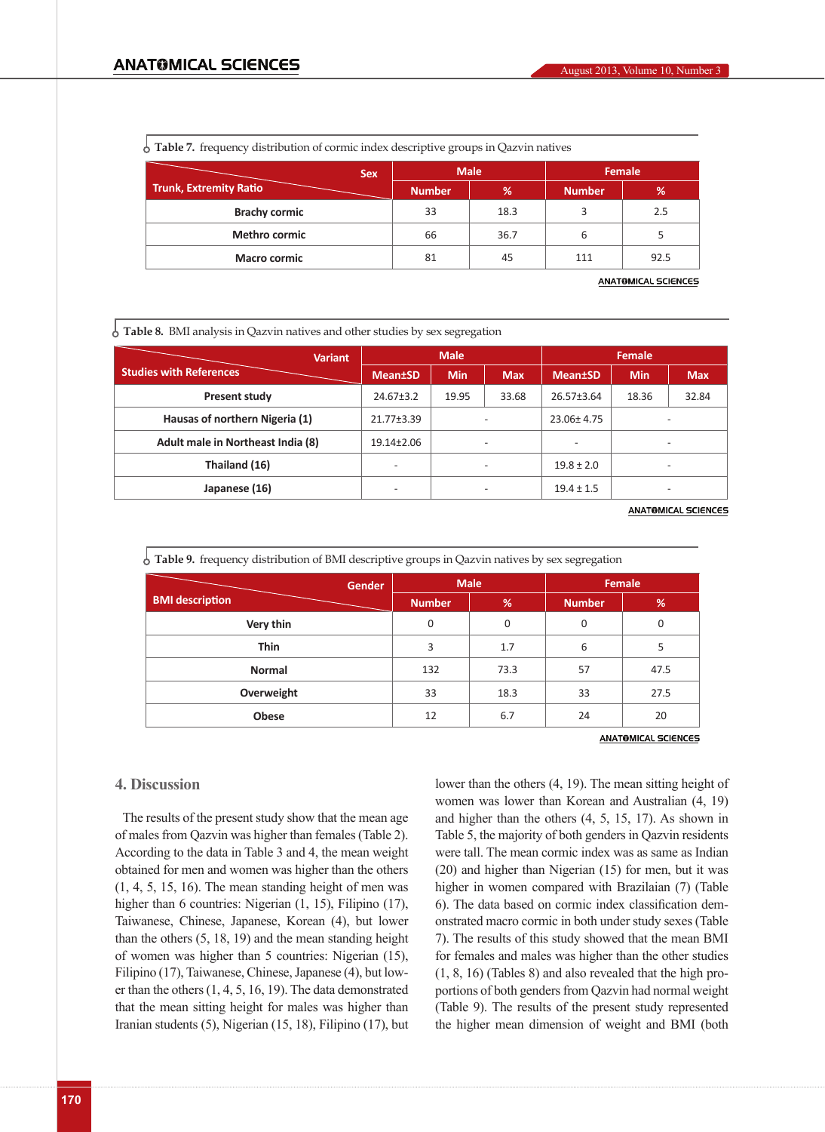|  |  |  | $\frac{1}{2}$ Table 7. frequency distribution of cormic index descriptive groups in Qazvin natives |  |  |  |  |  |  |
|--|--|--|----------------------------------------------------------------------------------------------------|--|--|--|--|--|--|
|--|--|--|----------------------------------------------------------------------------------------------------|--|--|--|--|--|--|

| <b>Sex</b>                    |               | <b>Male</b> | Female        |      |  |
|-------------------------------|---------------|-------------|---------------|------|--|
| <b>Trunk, Extremity Ratio</b> | <b>Number</b> | %           | <b>Number</b> | %    |  |
| <b>Brachy cormic</b>          | 33            | 18.3        |               | 2.5  |  |
| <b>Methro cormic</b>          | 66            | 36.7        | b             |      |  |
| <b>Macro cormic</b>           | 81            | 45          | 111           | 92.5 |  |

**ANATOMICAL SCIENCES** 

**Table 8.** BMI analysis in Qazvin natives and other studies by sex segregation

| <b>Variant</b>                    |                          | <b>Male</b> |                          | Female          |            |                          |  |
|-----------------------------------|--------------------------|-------------|--------------------------|-----------------|------------|--------------------------|--|
| <b>Studies with References</b>    | <b>Mean</b> tSD          | <b>Min</b>  | <b>Max</b>               | <b>Mean</b> tSD | <b>Min</b> | <b>Max</b>               |  |
| <b>Present study</b>              | $24.67 \pm 3.2$          | 19.95       | 33.68                    | 26.57±3.64      | 18.36      | 32.84                    |  |
| Hausas of northern Nigeria (1)    | 21.77±3.39               |             |                          |                 |            |                          |  |
| Adult male in Northeast India (8) | 19.14±2.06               |             | $\overline{\phantom{0}}$ |                 |            |                          |  |
| Thailand (16)                     | $\overline{\phantom{0}}$ |             | $\overline{\phantom{0}}$ | $19.8 \pm 2.0$  |            | $\overline{\phantom{0}}$ |  |
| Japanese (16)                     | $\overline{\phantom{0}}$ |             | -                        |                 |            |                          |  |
|                                   |                          |             |                          |                 |            |                          |  |

**ANATOMICAL SCIENCES** 

|  | $\frac{1}{2}$ Table 9. frequency distribution of BMI descriptive groups in Qazvin natives by sex segregation |  |  |
|--|--------------------------------------------------------------------------------------------------------------|--|--|
|  |                                                                                                              |  |  |

|                        | <b>Gender</b> | <b>Male</b>   |             | Female        |      |
|------------------------|---------------|---------------|-------------|---------------|------|
| <b>BMI</b> description |               | <b>Number</b> | %           | <b>Number</b> | %    |
| Very thin              |               | $\mathbf 0$   | $\mathbf 0$ | $\mathbf 0$   | 0    |
| <b>Thin</b>            |               | 3             | 1.7         | 6             | 5    |
| <b>Normal</b>          |               | 132           | 73.3        | 57            | 47.5 |
| Overweight             |               | 33            | 18.3        | 33            | 27.5 |
| <b>Obese</b>           |               | 12            | 6.7         | 24            | 20   |

**ANATOMICAL SCIENCES** 

#### **4. Discussion**

The results of the present study show that the mean age of males from Qazvin was higher than females (Table 2). According to the data in Table 3 and 4, the mean weight obtained for men and women was higher than the others  $(1, 4, 5, 15, 16)$ . The mean standing height of men was higher than 6 countries: Nigerian  $(1, 15)$ , Filipino  $(17)$ , Taiwanese, Chinese, Japanese, Korean (4), but lower than the others (5, 18, 19) and the mean standing height of women was higher than 5 countries: Nigerian (15), Filipino (17), Taiwanese, Chinese, Japanese (4), but lower than the others (1, 4, 5, 16, 19). The data demonstrated that the mean sitting height for males was higher than Iranian students (5), Nigerian (15, 18), Filipino (17), but lower than the others (4, 19). The mean sitting height of women was lower than Korean and Australian (4, 19) and higher than the others (4, 5, 15, 17). As shown in Table 5, the majority of both genders in Qazvin residents were tall. The mean cormic index was as same as Indian (20) and higher than Nigerian (15) for men, but it was higher in women compared with Brazilaian (7) (Table 6). The data based on cormic index classification demonstrated macro cormic in both under study sexes (Table 7). The results of this study showed that the mean BMI for females and males was higher than the other studies (1, 8, 16) (Tables 8) and also revealed that the high proportions of both genders from Qazvin had normal weight (Table 9). The results of the present study represented the higher mean dimension of weight and BMI (both